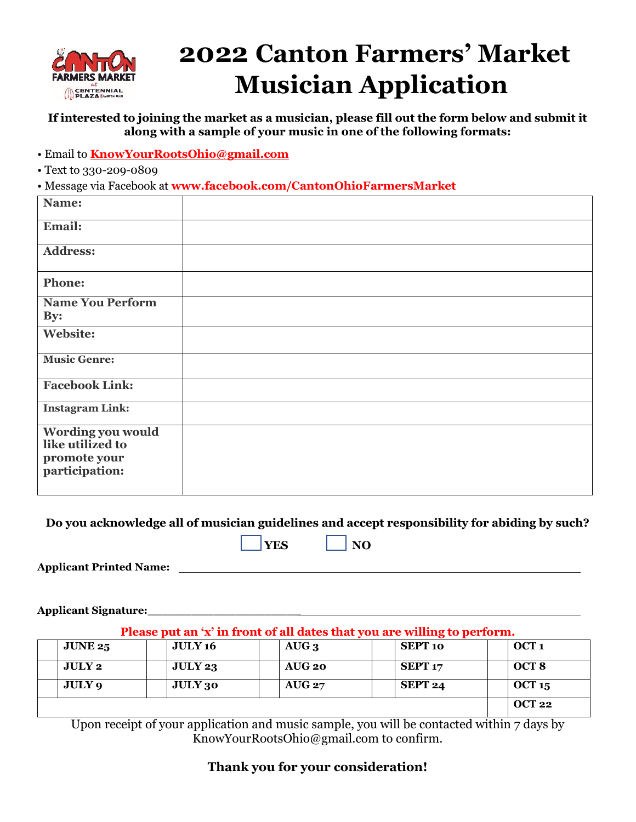

# **2022 Canton Farmers' Market Musician Application**

**If interested to joining the market as a musician, please fill out the form below and submit it along with a sample of your music in one of the following formats:**

- Email to **[KnowYourRootsOhio@gmail.com](mailto:KnowYourRootsOhio@gmail.com)**
- Text to 330-209-0809

• Message via Facebook at **www.facebook.com/CantonOhioFarmersMarket**

| Name:                          |  |
|--------------------------------|--|
| Email:                         |  |
| <b>Address:</b>                |  |
| <b>Phone:</b>                  |  |
| <b>Name You Perform</b><br>By: |  |
| Website:                       |  |
| <b>Music Genre:</b>            |  |
| <b>Facebook Link:</b>          |  |
| <b>Instagram Link:</b>         |  |
| Wording you would              |  |
| like utilized to               |  |
| promote your                   |  |
| participation:                 |  |
|                                |  |

**Do you acknowledge all of musician guidelines and accept responsibility for abiding by such?**  $\vert$ **YES**  $\vert$   $\vert$ **NO** 

**Applicant Printed Name:** 

**Applicant Signature:\_\_\_\_\_\_\_\_\_\_\_\_\_\_\_\_\_\_\_\_\_** 

**Please put an 'x' in front of all dates that you are willing to perform.**

| <b>JUNE 25</b> | <b>JULY 16</b> | $AUG_3$  | <b>SEPT 10</b>     | OCT <sub>1</sub> |
|----------------|----------------|----------|--------------------|------------------|
| <b>JULY 2</b>  | JULY 23        | AUG 20   | SEPT <sub>17</sub> | OCT <sub>8</sub> |
| JULY 9         | <b>JULY 30</b> | $AUG$ 27 | SEPT 24            | OCT 15           |
|                |                |          |                    | <b>OCT 22</b>    |

Upon receipt of your application and music sample, you will be contacted within 7 days by KnowYourRootsOhio@gmail.com to confirm.

## **Thank you for your consideration!**